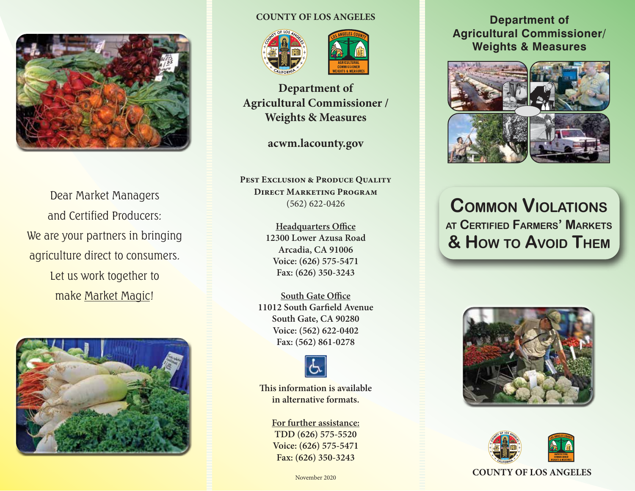

Dear Market Managers and Certified Producers: We are your partners in bringing agriculture direct to consumers. Let us work together to make Market Magic!



#### **COUNTY OF LOS ANGELES**





**Department of Agricultural Commissioner / Weights & Measures**

**acwm.lacounty.gov**

**PEST EXCLUSION & PRODUCE QUALITY Direct Marketing Program** (562) 622-0426

> **Headquarters Office 12300 Lower Azusa Road Arcadia, CA 91006 Voice: (626) 575-5471 Fax: (626) 350-3243**

**South Gate Office 11012 South Garfield Avenue South Gate, CA 90280 Voice: (562) 622-0402 Fax: (562) 861-0278**



**This information is available in alternative formats.**

> **For further assistance: TDD (626) 575-5520 Voice: (626) 575-5471 Fax: (626) 350-3243**

#### **Department of Agricultural Commissioner/ Weights & Measures**



**Common Violations at Certified Farmers' Markets & How to Avoid Them**





#### **COUNTY OF LOS ANGELES**

November 2020